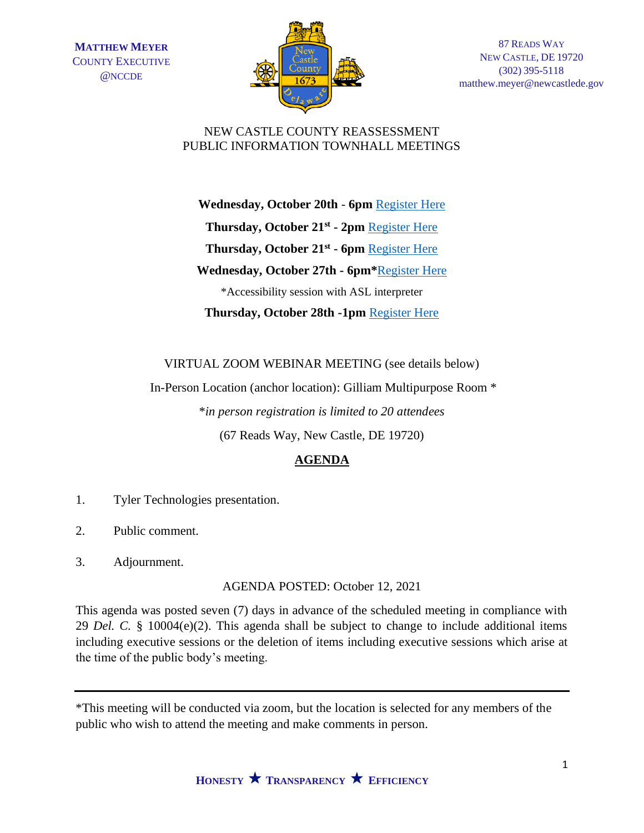

87 READS WAY NEW CASTLE, DE 19720 (302) 395-5118 matthew.meyer@newcastlede.gov

## NEW CASTLE COUNTY REASSESSMENT PUBLIC INFORMATION TOWNHALL MEETINGS

**Wednesday, October 20th** - **6pm** [Register Here](https://docs.google.com/forms/d/e/1FAIpQLSfxngC9GIne5DFyKvyEZ8BST05HjA5xsnC04eTmoTzROTdb3w/viewform?usp=sf_link) **Thursday, October 21st - 2pm** [Register Here](https://docs.google.com/forms/d/e/1FAIpQLSeBJO4fdfbSpOmu5-DQl_oU5sawLzMr5h74Oqi9-VW8TE4RCg/viewform?usp=sf_link) **Thursday, October 21st - 6pm** [Register Here](https://docs.google.com/forms/d/e/1FAIpQLSfpCvH30Tyc9BQe5VNvzaw3Mg6r26iIxS-VH9s6UMd8R7gdsw/viewform?usp=sf_link) **Wednesday, October 27th - 6pm\***[Register Here](https://docs.google.com/forms/d/e/1FAIpQLScwQC3Ww4oXUE6PTi9ACo46CFLlvy1Kvmyd0dsn3xysSW6M-g/viewform?usp=sf_link) \*Accessibility session with ASL interpreter **Thursday, October 28th -1pm** [Register Here](https://docs.google.com/forms/d/e/1FAIpQLScrgG0HFw3d8RI8laSUA2H5-Bzd0Rn1pyfU_K6wBJdnFyQNOA/viewform?usp=sf_link)

VIRTUAL ZOOM WEBINAR MEETING (see details below)

In-Person Location (anchor location): Gilliam Multipurpose Room \*

\**in person registration is limited to 20 attendees* 

(67 Reads Way, New Castle, DE 19720)

## **AGENDA**

- 1. Tyler Technologies presentation.
- 2. Public comment.
- 3. Adjournment.

AGENDA POSTED: October 12, 2021

This agenda was posted seven (7) days in advance of the scheduled meeting in compliance with 29 *Del. C.* § 10004(e)(2). This agenda shall be subject to change to include additional items including executive sessions or the deletion of items including executive sessions which arise at the time of the public body's meeting.

<sup>\*</sup>This meeting will be conducted via zoom, but the location is selected for any members of the public who wish to attend the meeting and make comments in person.